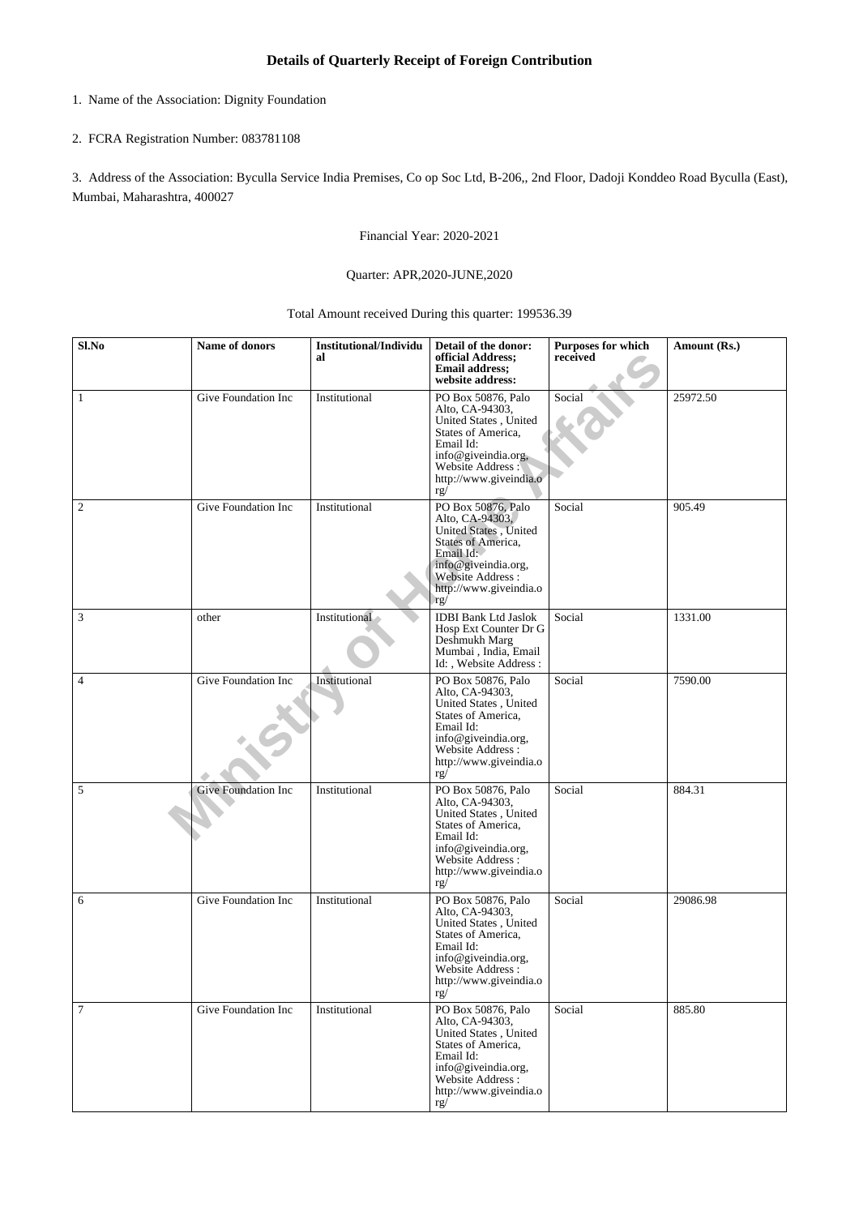- 1. Name of the Association: Dignity Foundation
- 2. FCRA Registration Number: 083781108

3. Address of the Association: Byculla Service India Premises, Co op Soc Ltd, B-206,, 2nd Floor, Dadoji Konddeo Road Byculla (East), Mumbai, Maharashtra, 400027

Financial Year: 2020-2021

## Quarter: APR,2020-JUNE,2020

Total Amount received During this quarter: 199536.39

| Sl.No            | Name of donors      | <b>Institutional/Individu</b><br>al | Detail of the donor:<br>official Address;<br><b>Email address;</b><br>website address:                                                                                        | Purposes for which<br>received | Amount (Rs.) |
|------------------|---------------------|-------------------------------------|-------------------------------------------------------------------------------------------------------------------------------------------------------------------------------|--------------------------------|--------------|
| $\mathbf{1}$     | Give Foundation Inc | Institutional                       | PO Box 50876, Palo<br>Alto, CA-94303,<br>United States, United<br>States of America,<br>Email Id:<br>info@giveindia.org,<br>Website Address:<br>http://www.giveindia.o<br>rg/ | Social                         | 25972.50     |
| $\boldsymbol{2}$ | Give Foundation Inc | Institutional                       | PO Box 50876, Palo<br>Alto, CA-94303,<br>United States, United<br>States of America,<br>Email Id:<br>info@giveindia.org,<br>Website Address:<br>http://www.giveindia.o<br>rg/ | Social                         | 905.49       |
| $\mathfrak{Z}$   | other               | Institutional                       | <b>IDBI Bank Ltd Jaslok</b><br>Hosp Ext Counter Dr G<br>Deshmukh Marg<br>Mumbai, India, Email<br>Id:, Website Address:                                                        | Social                         | 1331.00      |
| $\overline{4}$   | Give Foundation Inc | Institutional                       | PO Box 50876, Palo<br>Alto, CA-94303,<br>United States, United<br>States of America,<br>Email Id:<br>info@giveindia.org,<br>Website Address:<br>http://www.giveindia.o<br>rg/ | Social                         | 7590.00      |
| $\sqrt{5}$       | Give Foundation Inc | Institutional                       | PO Box 50876, Palo<br>Alto, CA-94303,<br>United States, United<br>States of America,<br>Email Id:<br>info@giveindia.org,<br>Website Address:<br>http://www.giveindia.o<br>rg/ | Social                         | 884.31       |
| 6                | Give Foundation Inc | Institutional                       | PO Box 50876, Palo<br>Alto, CA-94303,<br>United States, United<br>States of America,<br>Email Id:<br>info@giveindia.org,<br>Website Address:<br>http://www.giveindia.o<br>rg/ | Social                         | 29086.98     |
| 7                | Give Foundation Inc | Institutional                       | PO Box 50876, Palo<br>Alto, CA-94303,<br>United States, United<br>States of America,<br>Email Id:<br>info@giveindia.org,<br>Website Address:<br>http://www.giveindia.o<br>rg/ | Social                         | 885.80       |